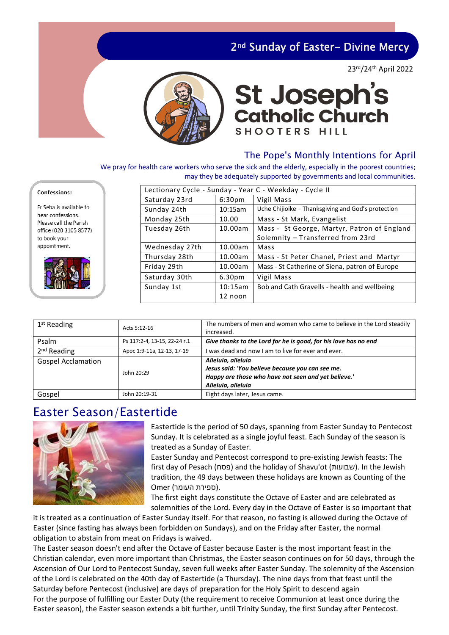### 2<sup>nd</sup> Sunday of Easter- Divine Mercy

23rd/24th April 2022



# **St Joseph's<br>Catholic Church SHOOTERS HILL**

#### The Pope's Monthly Intentions for April

We pray for health care workers who serve the sick and the elderly, especially in the poorest countries; may they be adequately supported by governments and local communities.

| Lectionary Cycle - Sunday - Year C - Weekday - Cycle II |                |                    |                                                    |  |
|---------------------------------------------------------|----------------|--------------------|----------------------------------------------------|--|
|                                                         | Saturday 23rd  | 6:30 <sub>pm</sub> | Vigil Mass                                         |  |
|                                                         | Sunday 24th    | 10:15am            | Uche Chijioike - Thanksgiving and God's protection |  |
|                                                         | Monday 25th    | 10.00              | Mass - St Mark, Evangelist                         |  |
|                                                         | Tuesday 26th   | 10.00am            | Mass - St George, Martyr, Patron of England        |  |
|                                                         |                |                    | Solemnity - Transferred from 23rd                  |  |
|                                                         | Wednesday 27th | 10.00am            | Mass                                               |  |
|                                                         | Thursday 28th  | 10.00am            | Mass - St Peter Chanel, Priest and Martyr          |  |
|                                                         | Friday 29th    | 10.00am            | Mass - St Catherine of Siena, patron of Europe     |  |
|                                                         | Saturday 30th  | 6.30 <sub>pm</sub> | Vigil Mass                                         |  |
|                                                         | Sunday 1st     | 10:15am            | Bob and Cath Gravells - health and wellbeing       |  |
|                                                         |                | 12 noon            |                                                    |  |
|                                                         |                |                    |                                                    |  |

| $1st$ Reading             | Acts 5:12-16                 | The numbers of men and women who came to believe in the Lord steadily<br>increased.                                                                |
|---------------------------|------------------------------|----------------------------------------------------------------------------------------------------------------------------------------------------|
| Psalm                     | Ps 117:2-4, 13-15, 22-24 r.1 | Give thanks to the Lord for he is good, for his love has no end                                                                                    |
| 2 <sup>nd</sup> Reading   | Apoc 1:9-11a, 12-13, 17-19   | was dead and now I am to live for ever and ever.                                                                                                   |
| <b>Gospel Acclamation</b> | John 20:29                   | Alleluia, alleluia<br>Jesus said: 'You believe because you can see me.<br>Happy are those who have not seen and yet believe.<br>Alleluia, alleluia |
| Gospel                    | John 20:19-31                | Eight days later, Jesus came.                                                                                                                      |

### Easter Season/Eastertide



Eastertide is the period of 50 days, spanning from Easter Sunday to Pentecost Sunday. It is celebrated as a single joyful feast. Each Sunday of the season is treated as a Sunday of Easter.

Easter Sunday and Pentecost correspond to pre-existing Jewish feasts: The first day of Pesach ( פסח (and the holiday of Shavu'ot (שבועות(. In the Jewish tradition, the 49 days between these holidays are known as Counting of the .(ספירת העומר) Omer

The first eight days constitute the Octave of Easter and are celebrated as solemnities of the Lord. Every day in the Octave of Easter is so important that

it is treated as a continuation of Easter Sunday itself. For that reason, no fasting is allowed during the Octave of Easter (since fasting has always been forbidden on Sundays), and on the Friday after Easter, the normal obligation to abstain from meat on Fridays is waived.

The Easter season doesn't end after the Octave of Easter because Easter is the most important feast in the Christian calendar, even more important than Christmas, the Easter season continues on for 50 days, through the Ascension of Our Lord to Pentecost Sunday, seven full weeks after Easter Sunday. The solemnity of the Ascension of the Lord is celebrated on the 40th day of Eastertide (a Thursday). The nine days from that feast until the Saturday before Pentecost (inclusive) are days of preparation for the Holy Spirit to descend again For the purpose of fulfilling our Easter Duty (the requirement to receive Communion at least once during the Easter season), the Easter season extends a bit further, until Trinity Sunday, the first Sunday after Pentecost.

#### Confessions: Fr Seba is available to

hear confessions Please call the Parish office (020 3105 8577) to book your appointment.

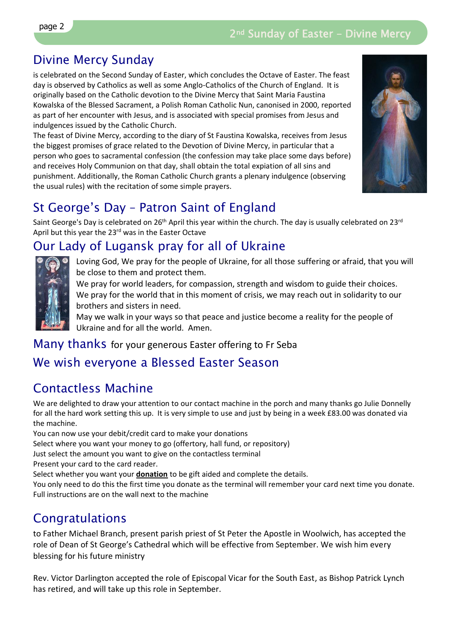# Divine Mercy Sunday

is celebrated on the Second Sunday of Easter, which concludes the Octave of Easter. The feast day is observed by Catholics as well as some Anglo-Catholics of the Church of England. It is originally based on the Catholic devotion to the Divine Mercy that Saint Maria Faustina Kowalska of the Blessed Sacrament, a Polish Roman Catholic Nun, canonised in 2000, reported as part of her encounter with Jesus, and is associated with special promises from Jesus and indulgences issued by the Catholic Church.

The feast of Divine Mercy, according to the diary of St Faustina Kowalska, receives from Jesus the biggest promises of grace related to the Devotion of Divine Mercy, in particular that a person who goes to sacramental confession (the confession may take place some days before) and receives Holy Communion on that day, shall obtain the total expiation of all sins and punishment. Additionally, the Roman Catholic Church grants a plenary indulgence (observing the usual rules) with the recitation of some simple prayers.



# St George's Day – Patron Saint of England

Saint George's Day is celebrated on 26<sup>th</sup> April this year within the church. The day is usually celebrated on 23<sup>rd</sup> April but this year the 23rd was in the Easter Octave

# Our Lady of Lugansk pray for all of Ukraine



Loving God, We pray for the people of Ukraine, for all those suffering or afraid, that you will be close to them and protect them.

We pray for world leaders, for compassion, strength and wisdom to guide their choices. We pray for the world that in this moment of crisis, we may reach out in solidarity to our brothers and sisters in need.

May we walk in your ways so that peace and justice become a reality for the people of Ukraine and for all the world. Amen.

### Many thanks for your generous Easter offering to Fr Seba

### We wish everyone a Blessed Easter Season

### Contactless Machine

We are delighted to draw your attention to our contact machine in the porch and many thanks go Julie Donnelly for all the hard work setting this up. It is very simple to use and just by being in a week £83.00 was donated via the machine.

You can now use your debit/credit card to make your donations Select where you want your money to go (offertory, hall fund, or repository) Just select the amount you want to give on the contactless terminal Present your card to the card reader. Select whether you want your **donation** to be gift aided and complete the details.

You only need to do this the first time you donate as the terminal will remember your card next time you donate. Full instructions are on the wall next to the machine

# Congratulations

to Father Michael Branch, present parish priest of St Peter the Apostle in Woolwich, has accepted the role of Dean of St George's Cathedral which will be effective from September. We wish him every blessing for his future ministry

Rev. Victor Darlington accepted the role of Episcopal Vicar for the South East, as Bishop Patrick Lynch has retired, and will take up this role in September.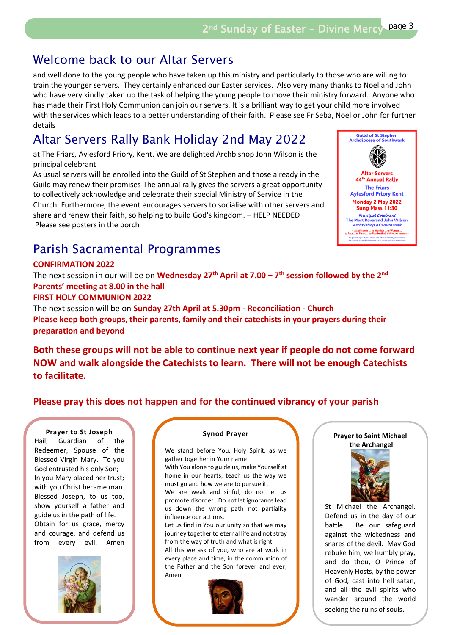### Welcome back to our Altar Servers

and well done to the young people who have taken up this ministry and particularly to those who are willing to train the younger servers. They certainly enhanced our Easter services. Also very many thanks to Noel and John who have very kindly taken up the task of helping the young people to move their ministry forward. Anyone who has made their First Holy Communion can join our servers. It is a brilliant way to get your child more involved with the services which leads to a better understanding of their faith. Please see Fr Seba, Noel or John for further details

# Altar Servers Rally Bank Holiday 2nd May 2022

at The Friars, Aylesford Priory, Kent. We are delighted Archbishop John Wilson is the principal celebrant

As usual servers will be enrolled into the Guild of St Stephen and those already in the Guild may renew their promises The annual rally gives the servers a great opportunity to collectively acknowledge and celebrate their special Ministry of Service in the Church. Furthermore, the event encourages servers to socialise with other servers and share and renew their faith, so helping to build God's kingdom. – HELP NEEDED Please see posters in the porch

## Parish Sacramental Programmes

#### **CONFIRMATION 2022**

The next session in our will be on **Wednesday 27th April at 7.00 – 7 th session followed by the 2nd Parents' meeting at 8.00 in the hall**

#### **FIRST HOLY COMMUNION 2022**

The next session will be on **Sunday 27th April at 5.30pm - Reconciliation - Church Please keep both groups, their parents, family and their catechists in your prayers during their preparation and beyond**

**Both these groups will not be able to continue next year if people do not come forward NOW and walk alongside the Catechists to learn. There will not be enough Catechists to facilitate.** 

### **Please pray this does not happen and for the continued vibrancy of your parish**

#### **Prayer to St Joseph**

Hail, Guardian of the Redeemer, Spouse of the Blessed Virgin Mary. To you God entrusted his only Son; In you Mary placed her trust; with you Christ became man. Blessed Joseph, to us too, show yourself a father and guide us in the path of life. Obtain for us grace, mercy and courage, and defend us from every evil. Amen



#### **Synod Prayer**

We stand before You, Holy Spirit, as we gather together in Your name

With You alone to guide us, make Yourself at home in our hearts; teach us the way we must go and how we are to pursue it.

We are weak and sinful; do not let us promote disorder. Do not let ignorance lead us down the wrong path not partiality influence our actions.

Let us find in You our unity so that we may journey together to eternal life and not stray from the way of truth and what is right

All this we ask of you, who are at work in every place and time, in the communion of the Father and the Son forever and ever, Amen



#### **Prayer to Saint Michael the Archangel**



St Michael the Archangel. Defend us in the day of our battle. Be our safeguard against the wickedness and snares of the devil. May God rebuke him, we humbly pray, and do thou, O Prince of Heavenly Hosts, by the power of God, cast into hell satan, and all the evil spirits who wander around the world seeking the ruins of souls.